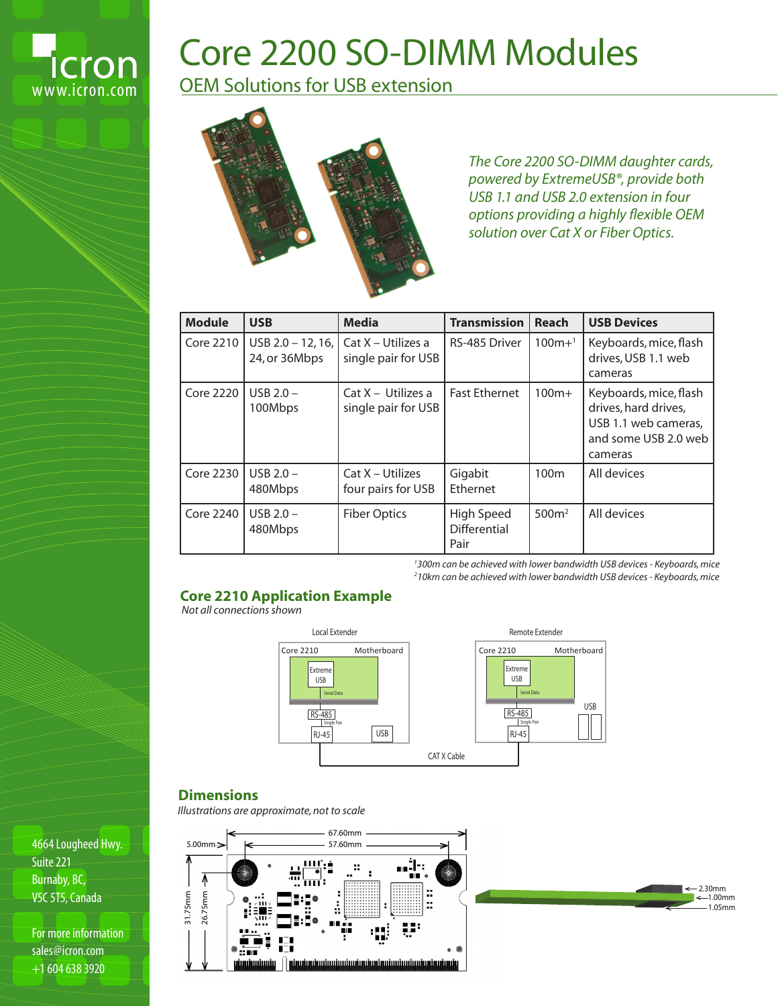

# Core 2200 SO-DIMM Modules

OEM Solutions for USB extension



*The Core 2200 SO-DIMM daughter cards, powered by ExtremeUSB®, provide both USB 1.1 and USB 2.0 extension in four options providing a highly flexible OEM solution over Cat X or Fiber Optics.*

| <b>Module</b>    | <b>USB</b>                         | <b>Media</b>                                | <b>Transmission</b>                | Reach             | <b>USB Devices</b>                                                                                        |
|------------------|------------------------------------|---------------------------------------------|------------------------------------|-------------------|-----------------------------------------------------------------------------------------------------------|
| Core 2210        | USB 2.0 - 12, 16,<br>24, or 36Mbps | Cat X - Utilizes a<br>single pair for USB   | RS-485 Driver                      | $100m+1$          | Keyboards, mice, flash<br>drives, USB 1.1 web<br>cameras                                                  |
| <b>Core 2220</b> | USB $2.0 -$<br>100Mbps             | $Cat X - Utilizes a$<br>single pair for USB | <b>Fast Ethernet</b>               | $100m+$           | Keyboards, mice, flash<br>drives, hard drives,<br>USB 1.1 web cameras,<br>and some USB 2.0 web<br>cameras |
| Core 2230        | USB $2.0 -$<br>480Mbps             | $Cat X - Utilizes$<br>four pairs for USB    | Gigabit<br>Ethernet                | 100 <sub>m</sub>  | All devices                                                                                               |
| Core 2240        | USB $2.0 -$<br>480Mbps             | <b>Fiber Optics</b>                         | High Speed<br>Differential<br>Pair | 500m <sup>2</sup> | All devices                                                                                               |

*1 300m can be achieved with lower bandwidth USB devices - Keyboards, mice 2 10km can be achieved with lower bandwidth USB devices - Keyboards, mice*

### **Core 2210 Application Example**

*Not all connections shown*



# **Dimensions**

*Illustrations are approximate, not to scale*





4664 Lougheed Hwy. Suite 221 Burnaby, BC, V5C 5T5, Canada

For more information sales@icron.com +1 604 638 3920